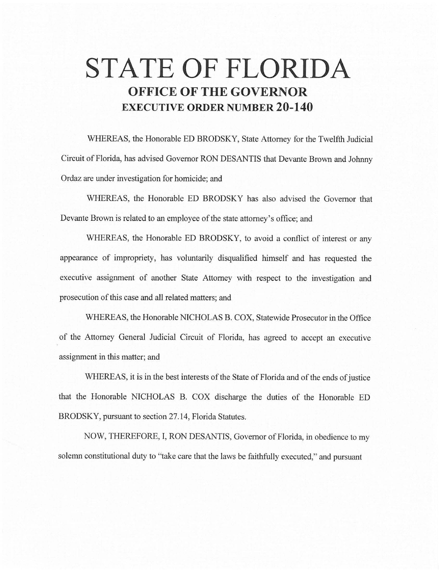# **STATE OF FLORIDA OFFICE OF THE GOVERNOR EXECUTIVE ORDER NUMBER 20-140**

WHEREAS, the Honorable ED BRODSKY, State Attorney for the Twelfth Judicial Circuit of Florida, has advised Governor RON DESANTIS that Devante Brown and Johnny Ordaz are under investigation for homicide; and

WHEREAS, the Honorable ED BRODSKY has also advised the Governor that Devante Brown is related to an employee of the state attorney's office; and

WHEREAS, the Honorable ED BRODSKY, to avoid a conflict of interest or any appearance of impropriety, has voluntarily disqualified himself and has requested the executive assignment of another State Attorney with respect to the investigation and prosecution of this case and all related matters; and

WHEREAS, the Honorable NICHOLAS B. COX, Statewide Prosecutor in the Office of the Attorney General Judicial Circuit of Florida, has agreed to accept an executive assignment in this matter; and

WHEREAS, it is in the best interests of the State of Florida and of the ends of justice that the Honorable NICHOLAS B. COX discharge the duties of the Honorable ED BRODSKY, pursuant to section 27.14, Florida Statutes.

NOW, THEREFORE, I, RON DESANTIS, Governor of Florida, in obedience to my solemn constitutional duty to "take care that the laws be faithfully executed," and pursuant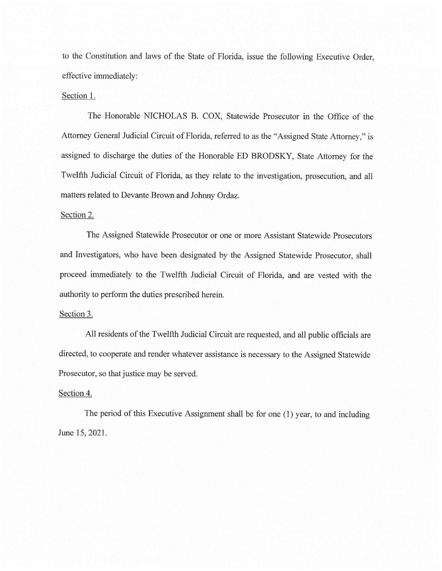to the Constitution and laws of the State of Florida, issue the following Executive Order, effective immediately:

### Section 1.

The Honorable NICHOLAS B. COX, Statewide Prosecutor in the Office of the Attorney General Judicial Circuit of Florida, referred to as the "Assigned State Attorney," is assigned to discharge the duties of the Honorable ED BRODSKY, State Attorney for the Twelfth Judicial Circuit of Florida, as they relate to the investigation, prosecution, and all matters related to Devante Brown and Johnny Ordaz.

## Section 2.

The Assigned Statewide Prosecutor or one or more Assistant Statewide Prosecutors and Investigators, who have been designated by the Assigned Statewide Prosecutor, shall proceed immediately to the Twelfth Judicial Circuit of Florida, and are vested with the authority to perform the duties prescribed herein.

## Section 3.

All residents of the Twelfth Judicial Circuit are requested, and all public officials are directed, to cooperate and render whatever assistance is necessary to the Assigned Statewide Prosecutor, so that justice may be served.

## Section 4.

The period of this Executive Assignment shall be for one (1) year, to and including June 15, 2021.